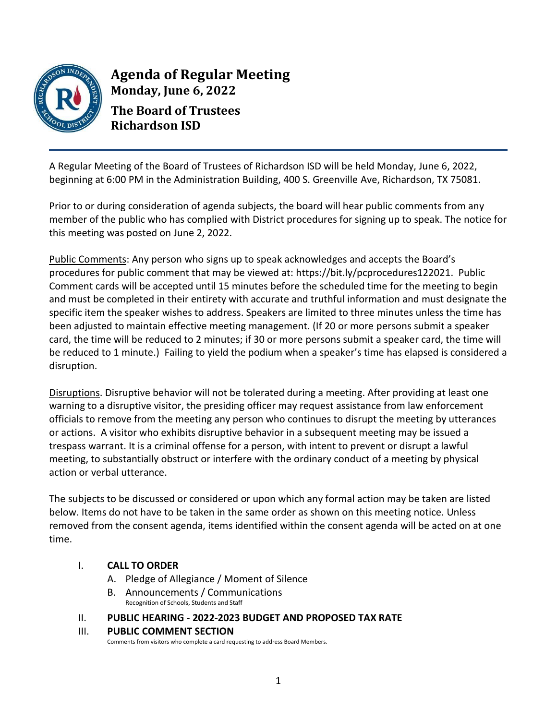

**Agenda of Regular Meeting Monday, June 6, 2022 The Board of Trustees Richardson ISD**

A Regular Meeting of the Board of Trustees of Richardson ISD will be held Monday, June 6, 2022, beginning at 6:00 PM in the Administration Building, 400 S. Greenville Ave, Richardson, TX 75081.

Prior to or during consideration of agenda subjects, the board will hear public comments from any member of the public who has complied with District procedures for signing up to speak. The notice for this meeting was posted on June 2, 2022.

Public Comments: Any person who signs up to speak acknowledges and accepts the Board's procedures for public comment that may be viewed at: [https://bit.ly/pcprocedures122021.](https://drive.google.com/file/d/1Fbzw7EIx8BvDEJyHApba-qu_JpMQuOlG/view) Public Comment cards will be accepted until 15 minutes before the scheduled time for the meeting to begin and must be completed in their entirety with accurate and truthful information and must designate the specific item the speaker wishes to address. Speakers are limited to three minutes unless the time has been adjusted to maintain effective meeting management. (If 20 or more persons submit a speaker card, the time will be reduced to 2 minutes; if 30 or more persons submit a speaker card, the time will be reduced to 1 minute.) Failing to yield the podium when a speaker's time has elapsed is considered a disruption.

Disruptions. Disruptive behavior will not be tolerated during a meeting. After providing at least one warning to a disruptive visitor, the presiding officer may request assistance from law enforcement officials to remove from the meeting any person who continues to disrupt the meeting by utterances or actions. A visitor who exhibits disruptive behavior in a subsequent meeting may be issued a trespass warrant. It is a criminal offense for a person, with intent to prevent or disrupt a lawful meeting, to substantially obstruct or interfere with the ordinary conduct of a meeting by physical action or verbal utterance.

The subjects to be discussed or considered or upon which any formal action may be taken are listed below. Items do not have to be taken in the same order as shown on this meeting notice. Unless removed from the consent agenda, items identified within the consent agenda will be acted on at one time.

# I. **CALL TO ORDER**

- A. Pledge of Allegiance / Moment of Silence
- B. Announcements / Communications Recognition of Schools, Students and Staff

## II. **PUBLIC HEARING - 2022-2023 BUDGET AND PROPOSED TAX RATE**

## III. **PUBLIC COMMENT SECTION**

Comments from visitors who complete a card requesting to address Board Members.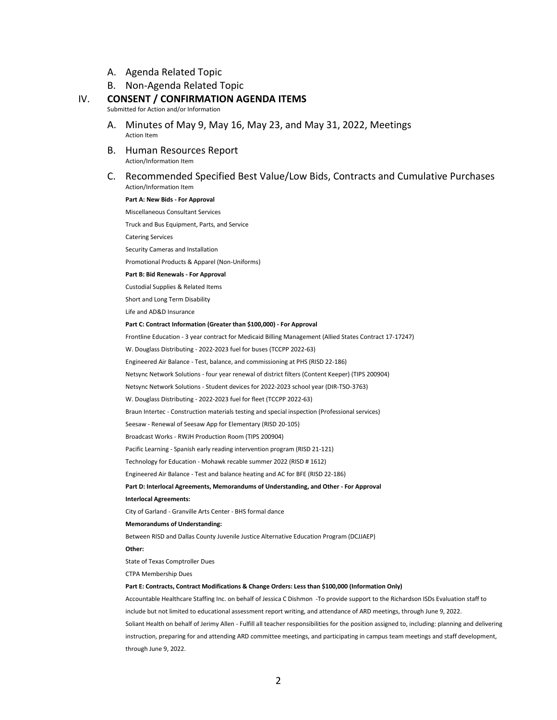- A. Agenda Related Topic
- B. Non-Agenda Related Topic

#### IV. **CONSENT / CONFIRMATION AGENDA ITEMS**

Submitted for Action and/or Information

- A. Minutes of May 9, May 16, May 23, and May 31, 2022, Meetings Action Item
- B. Human Resources Report Action/Information Item
- C. Recommended Specified Best Value/Low Bids, Contracts and Cumulative Purchases Action/Information Item

### **Part A: New Bids - For Approval**

Miscellaneous Consultant Services

Truck and Bus Equipment, Parts, and Service

Catering Services

Security Cameras and Installation

Promotional Products & Apparel (Non-Uniforms)

### **Part B: Bid Renewals - For Approval**

Custodial Supplies & Related Items

Short and Long Term Disability

Life and AD&D Insurance

#### **Part C: Contract Information (Greater than \$100,000) - For Approval**

Frontline Education - 3 year contract for Medicaid Billing Management (Allied States Contract 17-17247)

W. Douglass Distributing - 2022-2023 fuel for buses (TCCPP 2022-63)

Engineered Air Balance - Test, balance, and commissioning at PHS (RISD 22-186)

Netsync Network Solutions - four year renewal of district filters (Content Keeper) (TIPS 200904)

Netsync Network Solutions - Student devices for 2022-2023 school year (DIR-TSO-3763)

W. Douglass Distributing - 2022-2023 fuel for fleet (TCCPP 2022-63)

Braun Intertec - Construction materials testing and special inspection (Professional services)

Seesaw - Renewal of Seesaw App for Elementary (RISD 20-105)

Broadcast Works - RWJH Production Room (TIPS 200904)

Pacific Learning - Spanish early reading intervention program (RISD 21-121)

Technology for Education - Mohawk recable summer 2022 (RISD # 1612)

Engineered Air Balance - Test and balance heating and AC for BFE (RISD 22-186)

**Part D: Interlocal Agreements, Memorandums of Understanding, and Other - For Approval**

**Interlocal Agreements:**

City of Garland - Granville Arts Center - BHS formal dance

**Memorandums of Understanding:**

Between RISD and Dallas County Juvenile Justice Alternative Education Program (DCJJAEP)

**Other:**

State of Texas Comptroller Dues

CTPA Membership Dues

#### **Part E: Contracts, Contract Modifications & Change Orders: Less than \$100,000 (Information Only)**

Accountable Healthcare Staffing Inc. on behalf of Jessica C Dishmon -To provide support to the Richardson ISDs Evaluation staff to include but not limited to educational assessment report writing, and attendance of ARD meetings, through June 9, 2022. Soliant Health on behalf of Jerimy Allen - Fulfill all teacher responsibilities for the position assigned to, including: planning and delivering instruction, preparing for and attending ARD committee meetings, and participating in campus team meetings and staff development, through June 9, 2022.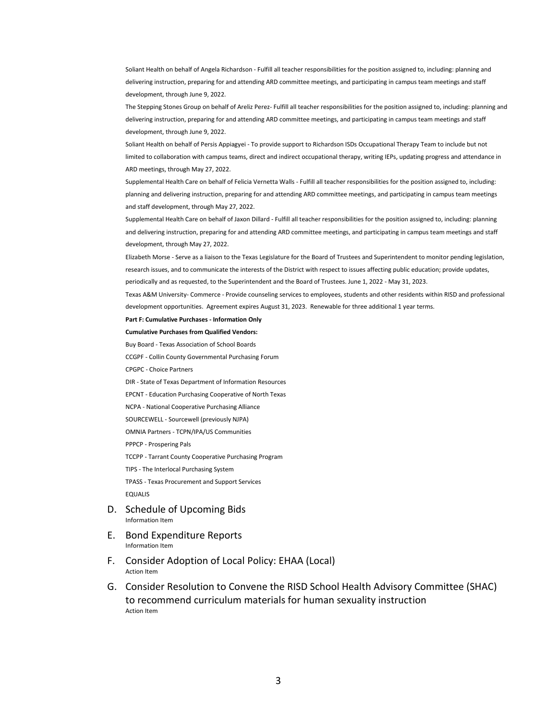Soliant Health on behalf of Angela Richardson - Fulfill all teacher responsibilities for the position assigned to, including: planning and delivering instruction, preparing for and attending ARD committee meetings, and participating in campus team meetings and staff development, through June 9, 2022.

The Stepping Stones Group on behalf of Areliz Perez- Fulfill all teacher responsibilities for the position assigned to, including: planning and delivering instruction, preparing for and attending ARD committee meetings, and participating in campus team meetings and staff development, through June 9, 2022.

Soliant Health on behalf of Persis Appiagyei - To provide support to Richardson ISDs Occupational Therapy Team to include but not limited to collaboration with campus teams, direct and indirect occupational therapy, writing IEPs, updating progress and attendance in ARD meetings, through May 27, 2022.

Supplemental Health Care on behalf of Felicia Vernetta Walls - Fulfill all teacher responsibilities for the position assigned to, including: planning and delivering instruction, preparing for and attending ARD committee meetings, and participating in campus team meetings and staff development, through May 27, 2022.

Supplemental Health Care on behalf of Jaxon Dillard - Fulfill all teacher responsibilities for the position assigned to, including: planning and delivering instruction, preparing for and attending ARD committee meetings, and participating in campus team meetings and staff development, through May 27, 2022.

Elizabeth Morse - Serve as a liaison to the Texas Legislature for the Board of Trustees and Superintendent to monitor pending legislation, research issues, and to communicate the interests of the District with respect to issues affecting public education; provide updates,

periodically and as requested, to the Superintendent and the Board of Trustees. June 1, 2022 - May 31, 2023.

Texas A&M University- Commerce - Provide counseling services to employees, students and other residents within RISD and professional development opportunities. Agreement expires August 31, 2023. Renewable for three additional 1 year terms.

**Part F: Cumulative Purchases - Information Only**

**Cumulative Purchases from Qualified Vendors:**

Buy Board - Texas Association of School Boards

CCGPF - Collin County Governmental Purchasing Forum

CPGPC - Choice Partners

DIR - State of Texas Department of Information Resources

EPCNT - Education Purchasing Cooperative of North Texas

NCPA - National Cooperative Purchasing Alliance

SOURCEWELL - Sourcewell (previously NJPA)

OMNIA Partners - TCPN/IPA/US Communities

PPPCP - Prospering Pals

TCCPP - Tarrant County Cooperative Purchasing Program

TIPS - The Interlocal Purchasing System

TPASS - Texas Procurement and Support Services

EQUALIS

- D. Schedule of Upcoming Bids Information Item
- E. Bond Expenditure Reports Information Item
- F. Consider Adoption of Local Policy: EHAA (Local) Action Item
- G. Consider Resolution to Convene the RISD School Health Advisory Committee (SHAC) to recommend curriculum materials for human sexuality instruction Action Item